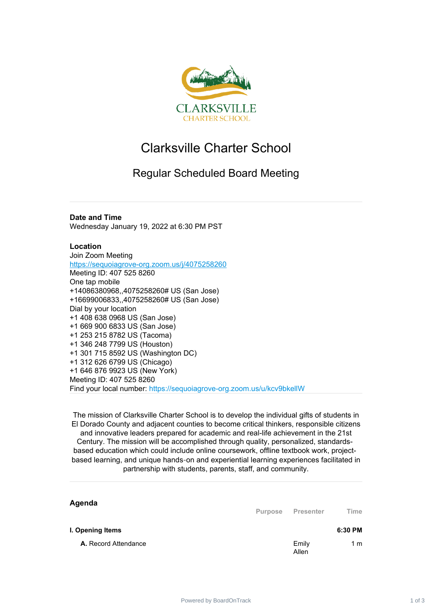

## Clarksville Charter School

## Regular Scheduled Board Meeting

## **Date and Time**

Wednesday January 19, 2022 at 6:30 PM PST

## **Location**

Join Zoom Meeting <https://sequoiagrove-org.zoom.us/j/4075258260> Meeting ID: 407 525 8260 One tap mobile +14086380968,,4075258260# US (San Jose) +16699006833,,4075258260# US (San Jose) Dial by your location +1 408 638 0968 US (San Jose) +1 669 900 6833 US (San Jose) +1 253 215 8782 US (Tacoma) +1 346 248 7799 US (Houston) +1 301 715 8592 US (Washington DC) +1 312 626 6799 US (Chicago) +1 646 876 9923 US (New York) Meeting ID: 407 525 8260 Find your local number: https://sequoiagrove-org.zoom.us/u/kcv9bkellW

The mission of Clarksville Charter School is to develop the individual gifts of students in El Dorado County and adjacent counties to become critical thinkers, responsible citizens and innovative leaders prepared for academic and real-life achievement in the 21st Century. The mission will be accomplished through quality, personalized, standardsbased education which could include online coursework, offline textbook work, projectbased learning, and unique hands‐on and experiential learning experiences facilitated in partnership with students, parents, staff, and community.

| Agenda                      | <b>Purpose</b> | Presenter      | Time    |
|-----------------------------|----------------|----------------|---------|
| I. Opening Items            |                |                | 6:30 PM |
| <b>A.</b> Record Attendance |                | Emily<br>Allen | 1 m     |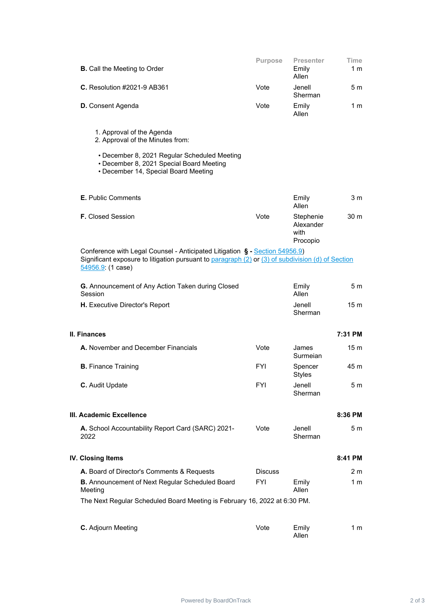| <b>B.</b> Call the Meeting to Order                                                                                                                                                                   | Purpose        | <b>Presenter</b><br>Emily<br>Allen         | <b>Time</b><br>1 m |  |  |
|-------------------------------------------------------------------------------------------------------------------------------------------------------------------------------------------------------|----------------|--------------------------------------------|--------------------|--|--|
| <b>C.</b> Resolution #2021-9 AB361                                                                                                                                                                    | Vote           | Jenell<br>Sherman                          | 5 m                |  |  |
| <b>D.</b> Consent Agenda                                                                                                                                                                              | Vote           | Emily<br>Allen                             | 1 m                |  |  |
| 1. Approval of the Agenda<br>2. Approval of the Minutes from:                                                                                                                                         |                |                                            |                    |  |  |
| • December 8, 2021 Regular Scheduled Meeting<br>• December 8, 2021 Special Board Meeting<br>• December 14, Special Board Meeting                                                                      |                |                                            |                    |  |  |
| <b>E.</b> Public Comments                                                                                                                                                                             |                | Emily<br>Allen                             | 3 <sub>m</sub>     |  |  |
| <b>F.</b> Closed Session                                                                                                                                                                              | Vote           | Stephenie<br>Alexander<br>with<br>Procopio | 30 <sub>m</sub>    |  |  |
| Conference with Legal Counsel - Anticipated Litigation § - Section 54956.9)<br>Significant exposure to litigation pursuant to paragraph (2) or (3) of subdivision (d) of Section<br>54956.9: (1 case) |                |                                            |                    |  |  |
| G. Announcement of Any Action Taken during Closed<br>Session                                                                                                                                          |                | Emily<br>Allen                             | 5 <sub>m</sub>     |  |  |
| H. Executive Director's Report                                                                                                                                                                        |                | Jenell<br>Sherman                          | 15 <sub>m</sub>    |  |  |
| <b>II. Finances</b>                                                                                                                                                                                   |                |                                            | 7:31 PM            |  |  |
| A. November and December Financials                                                                                                                                                                   | Vote           | James<br>Surmeian                          | 15 <sub>m</sub>    |  |  |
| <b>B.</b> Finance Training                                                                                                                                                                            | <b>FYI</b>     | Spencer<br><b>Styles</b>                   | 45 m               |  |  |
| C. Audit Update                                                                                                                                                                                       | <b>FYI</b>     | Jenell<br>Sherman                          | 5 <sub>m</sub>     |  |  |
| III. Academic Excellence                                                                                                                                                                              |                |                                            | 8:36 PM            |  |  |
| A. School Accountability Report Card (SARC) 2021-<br>2022                                                                                                                                             | Vote           | Jenell<br>Sherman                          | 5 <sub>m</sub>     |  |  |
| IV. Closing Items                                                                                                                                                                                     |                |                                            | 8:41 PM            |  |  |
| A. Board of Director's Comments & Requests                                                                                                                                                            | <b>Discuss</b> |                                            | 2 m                |  |  |
| <b>B.</b> Announcement of Next Regular Scheduled Board<br>Meeting                                                                                                                                     | FYI            | Emily<br>Allen                             | 1 m                |  |  |
| The Next Regular Scheduled Board Meeting is February 16, 2022 at 6:30 PM.                                                                                                                             |                |                                            |                    |  |  |
| C. Adjourn Meeting                                                                                                                                                                                    | Vote           | Emily<br>Allen                             | 1 m                |  |  |